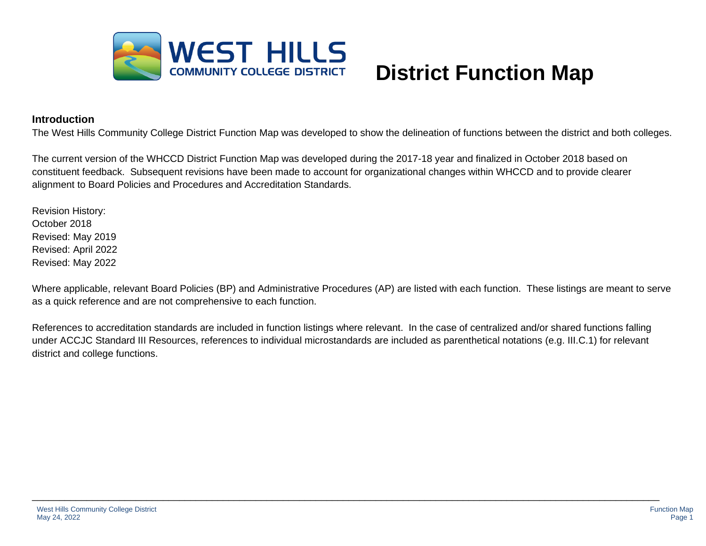

# **Introduction**

The West Hills Community College District Function Map was developed to show the delineation of functions between the district and both colleges.

The current version of the WHCCD District Function Map was developed during the 2017-18 year and finalized in October 2018 based on constituent feedback. Subsequent revisions have been made to account for organizational changes within WHCCD and to provide clearer alignment to Board Policies and Procedures and Accreditation Standards.

Revision History: October 2018 Revised: May 2019 Revised: April 2022 Revised: May 2022

Where applicable, relevant Board Policies (BP) and Administrative Procedures (AP) are listed with each function. These listings are meant to serve as a quick reference and are not comprehensive to each function.

References to accreditation standards are included in function listings where relevant. In the case of centralized and/or shared functions falling under ACCJC Standard III Resources, references to individual microstandards are included as parenthetical notations (e.g. III.C.1) for relevant district and college functions.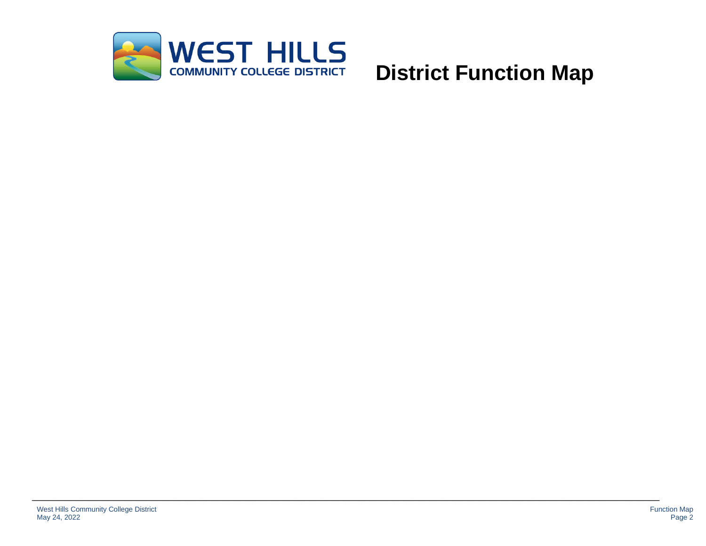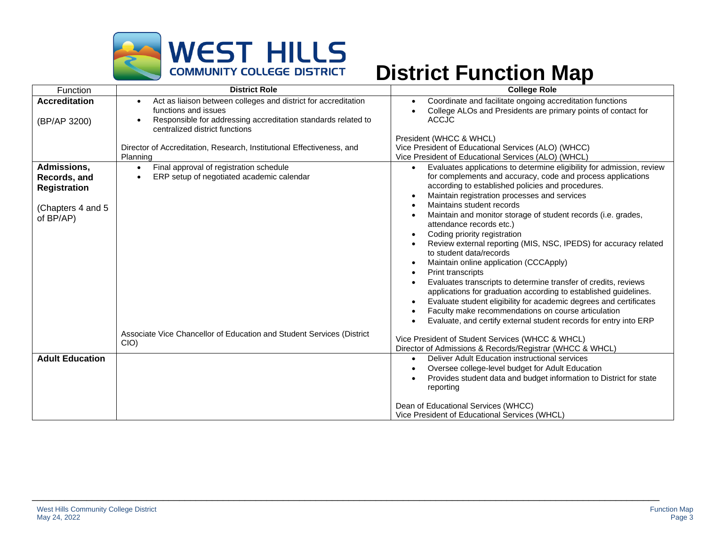

| Function                                                                              | <b>District Role</b>                                                                                                                                                                                                | <b>College Role</b>                                                                                                                                                                                                                                                                                                                                                                                                                                                                                                                                                                                                                                                                                                                                                                                                                                                                                                                                                                                                                                              |
|---------------------------------------------------------------------------------------|---------------------------------------------------------------------------------------------------------------------------------------------------------------------------------------------------------------------|------------------------------------------------------------------------------------------------------------------------------------------------------------------------------------------------------------------------------------------------------------------------------------------------------------------------------------------------------------------------------------------------------------------------------------------------------------------------------------------------------------------------------------------------------------------------------------------------------------------------------------------------------------------------------------------------------------------------------------------------------------------------------------------------------------------------------------------------------------------------------------------------------------------------------------------------------------------------------------------------------------------------------------------------------------------|
| <b>Accreditation</b><br>(BP/AP 3200)                                                  | Act as liaison between colleges and district for accreditation<br>$\bullet$<br>functions and issues<br>Responsible for addressing accreditation standards related to<br>$\bullet$<br>centralized district functions | Coordinate and facilitate ongoing accreditation functions<br>$\bullet$<br>College ALOs and Presidents are primary points of contact for<br><b>ACCJC</b>                                                                                                                                                                                                                                                                                                                                                                                                                                                                                                                                                                                                                                                                                                                                                                                                                                                                                                          |
|                                                                                       | Director of Accreditation, Research, Institutional Effectiveness, and<br>Planning                                                                                                                                   | President (WHCC & WHCL)<br>Vice President of Educational Services (ALO) (WHCC)<br>Vice President of Educational Services (ALO) (WHCL)                                                                                                                                                                                                                                                                                                                                                                                                                                                                                                                                                                                                                                                                                                                                                                                                                                                                                                                            |
| Admissions,<br>Records, and<br><b>Registration</b><br>(Chapters 4 and 5)<br>of BP/AP) | Final approval of registration schedule<br>$\bullet$<br>ERP setup of negotiated academic calendar<br>$\bullet$                                                                                                      | Evaluates applications to determine eligibility for admission, review<br>$\bullet$<br>for complements and accuracy, code and process applications<br>according to established policies and procedures.<br>Maintain registration processes and services<br>$\bullet$<br>Maintains student records<br>$\bullet$<br>Maintain and monitor storage of student records (i.e. grades,<br>$\bullet$<br>attendance records etc.)<br>Coding priority registration<br>$\bullet$<br>Review external reporting (MIS, NSC, IPEDS) for accuracy related<br>$\bullet$<br>to student data/records<br>Maintain online application (CCCApply)<br>$\bullet$<br><b>Print transcripts</b><br>$\bullet$<br>Evaluates transcripts to determine transfer of credits, reviews<br>$\bullet$<br>applications for graduation according to established guidelines.<br>Evaluate student eligibility for academic degrees and certificates<br>$\bullet$<br>Faculty make recommendations on course articulation<br>$\bullet$<br>Evaluate, and certify external student records for entry into ERP |
|                                                                                       | Associate Vice Chancellor of Education and Student Services (District<br>CIO)                                                                                                                                       | Vice President of Student Services (WHCC & WHCL)<br>Director of Admissions & Records/Registrar (WHCC & WHCL)                                                                                                                                                                                                                                                                                                                                                                                                                                                                                                                                                                                                                                                                                                                                                                                                                                                                                                                                                     |
| <b>Adult Education</b>                                                                |                                                                                                                                                                                                                     | Deliver Adult Education instructional services<br>$\bullet$<br>Oversee college-level budget for Adult Education<br>$\bullet$<br>Provides student data and budget information to District for state<br>$\bullet$<br>reporting                                                                                                                                                                                                                                                                                                                                                                                                                                                                                                                                                                                                                                                                                                                                                                                                                                     |
|                                                                                       |                                                                                                                                                                                                                     | Dean of Educational Services (WHCC)<br>Vice President of Educational Services (WHCL)                                                                                                                                                                                                                                                                                                                                                                                                                                                                                                                                                                                                                                                                                                                                                                                                                                                                                                                                                                             |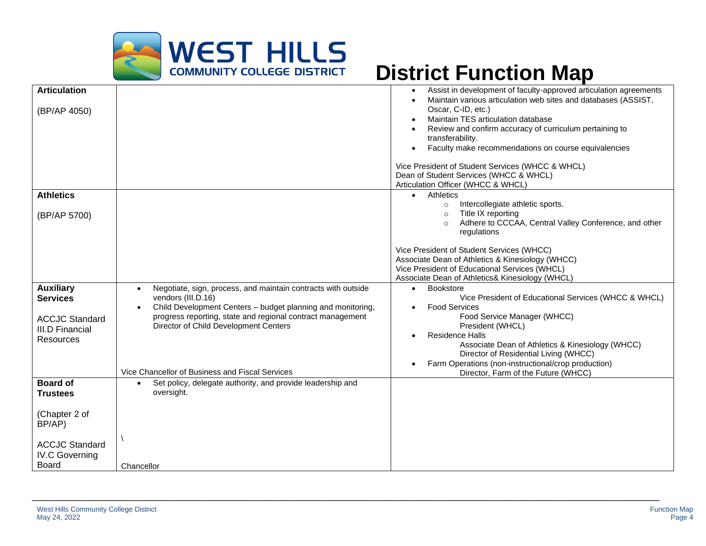

| <b>Articulation</b><br>(BP/AP 4050)                                                                                             |                                                                                                                                                                                                                                                                                                                                        | Assist in development of faculty-approved articulation agreements<br>$\bullet$<br>Maintain various articulation web sites and databases (ASSIST,<br>Oscar, C-ID, etc.)<br>Maintain TES articulation database<br>٠<br>Review and confirm accuracy of curriculum pertaining to<br>transferability.<br>Faculty make recommendations on course equivalencies<br>$\bullet$<br>Vice President of Student Services (WHCC & WHCL)<br>Dean of Student Services (WHCC & WHCL)<br>Articulation Officer (WHCC & WHCL) |
|---------------------------------------------------------------------------------------------------------------------------------|----------------------------------------------------------------------------------------------------------------------------------------------------------------------------------------------------------------------------------------------------------------------------------------------------------------------------------------|-----------------------------------------------------------------------------------------------------------------------------------------------------------------------------------------------------------------------------------------------------------------------------------------------------------------------------------------------------------------------------------------------------------------------------------------------------------------------------------------------------------|
| <b>Athletics</b><br>(BP/AP 5700)                                                                                                |                                                                                                                                                                                                                                                                                                                                        | Athletics<br>$\bullet$<br>Intercollegiate athletic sports.<br>$\circ$<br>Title IX reporting<br>$\circ$<br>Adhere to CCCAA, Central Valley Conference, and other<br>regulations<br>Vice President of Student Services (WHCC)<br>Associate Dean of Athletics & Kinesiology (WHCC)<br>Vice President of Educational Services (WHCL)                                                                                                                                                                          |
| <b>Auxiliary</b><br><b>Services</b><br><b>ACCJC Standard</b><br><b>III.D Financial</b><br>Resources                             | Negotiate, sign, process, and maintain contracts with outside<br>$\bullet$<br>vendors (III.D.16)<br>Child Development Centers - budget planning and monitoring,<br>$\bullet$<br>progress reporting, state and regional contract management<br>Director of Child Development Centers<br>Vice Chancellor of Business and Fiscal Services | Associate Dean of Athletics& Kinesiology (WHCL)<br><b>Bookstore</b><br>$\bullet$<br>Vice President of Educational Services (WHCC & WHCL)<br><b>Food Services</b><br>$\bullet$<br>Food Service Manager (WHCC)<br>President (WHCL)<br><b>Residence Halls</b><br>$\bullet$<br>Associate Dean of Athletics & Kinesiology (WHCC)<br>Director of Residential Living (WHCC)<br>Farm Operations (non-instructional/crop production)<br>$\bullet$                                                                  |
| <b>Board of</b><br><b>Trustees</b><br>(Chapter 2 of<br>BP/AP)<br><b>ACCJC Standard</b><br><b>IV.C Governing</b><br><b>Board</b> | Set policy, delegate authority, and provide leadership and<br>$\bullet$<br>oversight.<br>Chancellor                                                                                                                                                                                                                                    | Director, Farm of the Future (WHCC)                                                                                                                                                                                                                                                                                                                                                                                                                                                                       |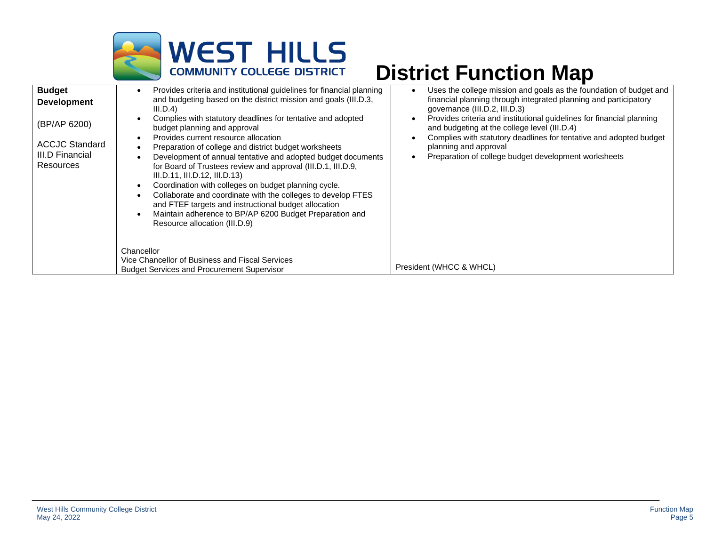

| <b>Budget</b><br><b>Development</b><br>(BP/AP 6200)<br><b>ACCJC Standard</b><br>III.D Financial<br>Resources | Provides criteria and institutional guidelines for financial planning<br>$\bullet$<br>and budgeting based on the district mission and goals (III.D.3,<br>III.D.4)<br>Complies with statutory deadlines for tentative and adopted<br>budget planning and approval<br>Provides current resource allocation<br>$\bullet$<br>Preparation of college and district budget worksheets<br>Development of annual tentative and adopted budget documents<br>for Board of Trustees review and approval (III.D.1, III.D.9,<br>III.D.11, III.D.12, III.D.13)<br>Coordination with colleges on budget planning cycle.<br>Collaborate and coordinate with the colleges to develop FTES<br>and FTEF targets and instructional budget allocation<br>Maintain adherence to BP/AP 6200 Budget Preparation and<br>$\bullet$ | Uses the college mission and goals as the foundation of budget and<br>financial planning through integrated planning and participatory<br>governance (III.D.2, III.D.3)<br>Provides criteria and institutional guidelines for financial planning<br>and budgeting at the college level (III.D.4)<br>Complies with statutory deadlines for tentative and adopted budget<br>planning and approval<br>Preparation of college budget development worksheets |
|--------------------------------------------------------------------------------------------------------------|---------------------------------------------------------------------------------------------------------------------------------------------------------------------------------------------------------------------------------------------------------------------------------------------------------------------------------------------------------------------------------------------------------------------------------------------------------------------------------------------------------------------------------------------------------------------------------------------------------------------------------------------------------------------------------------------------------------------------------------------------------------------------------------------------------|---------------------------------------------------------------------------------------------------------------------------------------------------------------------------------------------------------------------------------------------------------------------------------------------------------------------------------------------------------------------------------------------------------------------------------------------------------|
|                                                                                                              | Resource allocation (III.D.9)<br>Chancellor<br>Vice Chancellor of Business and Fiscal Services<br><b>Budget Services and Procurement Supervisor</b>                                                                                                                                                                                                                                                                                                                                                                                                                                                                                                                                                                                                                                                     | President (WHCC & WHCL)                                                                                                                                                                                                                                                                                                                                                                                                                                 |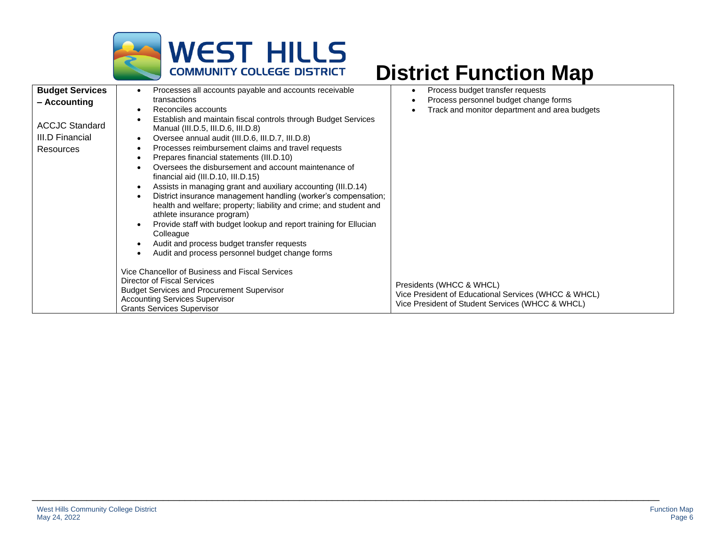

| <b>Budget Services</b><br>- Accounting<br><b>ACCJC Standard</b><br>III.D Financial<br><b>Resources</b> | Processes all accounts payable and accounts receivable<br>transactions<br>Reconciles accounts<br>Establish and maintain fiscal controls through Budget Services<br>Manual (III.D.5, III.D.6, III.D.8)<br>Oversee annual audit (III.D.6, III.D.7, III.D.8)<br>Processes reimbursement claims and travel requests<br>Prepares financial statements (III.D.10)<br>Oversees the disbursement and account maintenance of<br>financial aid (III.D.10, III.D.15)<br>Assists in managing grant and auxiliary accounting (III.D.14)<br>District insurance management handling (worker's compensation;<br>health and welfare; property; liability and crime; and student and<br>athlete insurance program)<br>Provide staff with budget lookup and report training for Ellucian | Process budget transfer requests<br>Process personnel budget change forms<br>Track and monitor department and area budgets           |
|--------------------------------------------------------------------------------------------------------|-----------------------------------------------------------------------------------------------------------------------------------------------------------------------------------------------------------------------------------------------------------------------------------------------------------------------------------------------------------------------------------------------------------------------------------------------------------------------------------------------------------------------------------------------------------------------------------------------------------------------------------------------------------------------------------------------------------------------------------------------------------------------|--------------------------------------------------------------------------------------------------------------------------------------|
|                                                                                                        | Colleague<br>Audit and process budget transfer requests<br>Audit and process personnel budget change forms<br>Vice Chancellor of Business and Fiscal Services<br><b>Director of Fiscal Services</b><br><b>Budget Services and Procurement Supervisor</b><br><b>Accounting Services Supervisor</b><br><b>Grants Services Supervisor</b>                                                                                                                                                                                                                                                                                                                                                                                                                                | Presidents (WHCC & WHCL)<br>Vice President of Educational Services (WHCC & WHCL)<br>Vice President of Student Services (WHCC & WHCL) |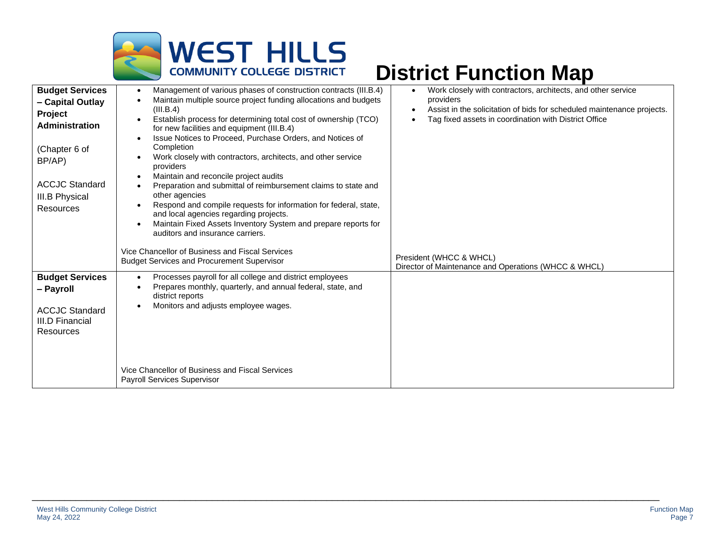

| <b>Budget Services</b><br>- Capital Outlay<br>Project<br><b>Administration</b> | Management of various phases of construction contracts (III.B.4)<br>$\bullet$<br>Maintain multiple source project funding allocations and budgets<br>(III.B.4)<br>Establish process for determining total cost of ownership (TCO)<br>for new facilities and equipment (III.B.4)<br>Issue Notices to Proceed, Purchase Orders, and Notices of<br>$\bullet$            | Work closely with contractors, architects, and other service<br>$\bullet$<br>providers<br>Assist in the solicitation of bids for scheduled maintenance projects.<br>$\bullet$<br>Tag fixed assets in coordination with District Office |
|--------------------------------------------------------------------------------|----------------------------------------------------------------------------------------------------------------------------------------------------------------------------------------------------------------------------------------------------------------------------------------------------------------------------------------------------------------------|----------------------------------------------------------------------------------------------------------------------------------------------------------------------------------------------------------------------------------------|
| (Chapter 6 of<br>BP/AP)                                                        | Completion<br>Work closely with contractors, architects, and other service<br>providers<br>Maintain and reconcile project audits                                                                                                                                                                                                                                     |                                                                                                                                                                                                                                        |
| <b>ACCJC Standard</b><br>III.B Physical<br>Resources                           | Preparation and submittal of reimbursement claims to state and<br>$\bullet$<br>other agencies<br>Respond and compile requests for information for federal, state,<br>and local agencies regarding projects.<br>Maintain Fixed Assets Inventory System and prepare reports for<br>auditors and insurance carriers.<br>Vice Chancellor of Business and Fiscal Services |                                                                                                                                                                                                                                        |
|                                                                                | <b>Budget Services and Procurement Supervisor</b>                                                                                                                                                                                                                                                                                                                    | President (WHCC & WHCL)<br>Director of Maintenance and Operations (WHCC & WHCL)                                                                                                                                                        |
| <b>Budget Services</b><br>- Payroll                                            | Processes payroll for all college and district employees<br>$\bullet$<br>Prepares monthly, quarterly, and annual federal, state, and<br>district reports<br>Monitors and adjusts employee wages.                                                                                                                                                                     |                                                                                                                                                                                                                                        |
| <b>ACCJC Standard</b><br><b>III.D Financial</b><br>Resources                   |                                                                                                                                                                                                                                                                                                                                                                      |                                                                                                                                                                                                                                        |
|                                                                                | Vice Chancellor of Business and Fiscal Services<br><b>Payroll Services Supervisor</b>                                                                                                                                                                                                                                                                                |                                                                                                                                                                                                                                        |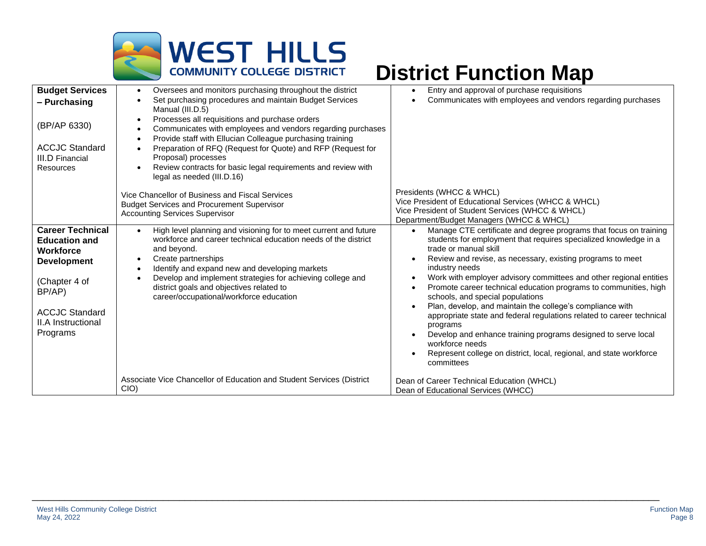

| <b>Budget Services</b><br>- Purchasing<br>(BP/AP 6330)<br><b>ACCJC Standard</b><br><b>III.D Financial</b><br><b>Resources</b>                                                          | Oversees and monitors purchasing throughout the district<br>$\bullet$<br>Set purchasing procedures and maintain Budget Services<br>Manual (III.D.5)<br>Processes all requisitions and purchase orders<br>٠<br>Communicates with employees and vendors regarding purchases<br>$\bullet$<br>Provide staff with Ellucian Colleague purchasing training<br>$\bullet$<br>Preparation of RFQ (Request for Quote) and RFP (Request for<br>$\bullet$<br>Proposal) processes<br>Review contracts for basic legal requirements and review with<br>$\bullet$<br>legal as needed (III.D.16) | Entry and approval of purchase requisitions<br>$\bullet$<br>Communicates with employees and vendors regarding purchases                                                                                                                                                                                                                                                                                                                                                                                                                                                                                                                                                                                                                                                                                                  |
|----------------------------------------------------------------------------------------------------------------------------------------------------------------------------------------|---------------------------------------------------------------------------------------------------------------------------------------------------------------------------------------------------------------------------------------------------------------------------------------------------------------------------------------------------------------------------------------------------------------------------------------------------------------------------------------------------------------------------------------------------------------------------------|--------------------------------------------------------------------------------------------------------------------------------------------------------------------------------------------------------------------------------------------------------------------------------------------------------------------------------------------------------------------------------------------------------------------------------------------------------------------------------------------------------------------------------------------------------------------------------------------------------------------------------------------------------------------------------------------------------------------------------------------------------------------------------------------------------------------------|
|                                                                                                                                                                                        | Vice Chancellor of Business and Fiscal Services<br><b>Budget Services and Procurement Supervisor</b><br><b>Accounting Services Supervisor</b>                                                                                                                                                                                                                                                                                                                                                                                                                                   | Presidents (WHCC & WHCL)<br>Vice President of Educational Services (WHCC & WHCL)<br>Vice President of Student Services (WHCC & WHCL)<br>Department/Budget Managers (WHCC & WHCL)                                                                                                                                                                                                                                                                                                                                                                                                                                                                                                                                                                                                                                         |
| <b>Career Technical</b><br><b>Education and</b><br><b>Workforce</b><br><b>Development</b><br>(Chapter 4 of<br>BP/AP)<br><b>ACCJC Standard</b><br><b>II.A Instructional</b><br>Programs | High level planning and visioning for to meet current and future<br>$\bullet$<br>workforce and career technical education needs of the district<br>and beyond.<br>Create partnerships<br>$\bullet$<br>Identify and expand new and developing markets<br>$\bullet$<br>Develop and implement strategies for achieving college and<br>$\bullet$<br>district goals and objectives related to<br>career/occupational/workforce education                                                                                                                                             | Manage CTE certificate and degree programs that focus on training<br>$\bullet$<br>students for employment that requires specialized knowledge in a<br>trade or manual skill<br>Review and revise, as necessary, existing programs to meet<br>$\bullet$<br>industry needs<br>Work with employer advisory committees and other regional entities<br>$\bullet$<br>Promote career technical education programs to communities, high<br>$\bullet$<br>schools, and special populations<br>Plan, develop, and maintain the college's compliance with<br>appropriate state and federal regulations related to career technical<br>programs<br>Develop and enhance training programs designed to serve local<br>$\bullet$<br>workforce needs<br>Represent college on district, local, regional, and state workforce<br>committees |
|                                                                                                                                                                                        | Associate Vice Chancellor of Education and Student Services (District<br>CIO)                                                                                                                                                                                                                                                                                                                                                                                                                                                                                                   | Dean of Career Technical Education (WHCL)<br>Dean of Educational Services (WHCC)                                                                                                                                                                                                                                                                                                                                                                                                                                                                                                                                                                                                                                                                                                                                         |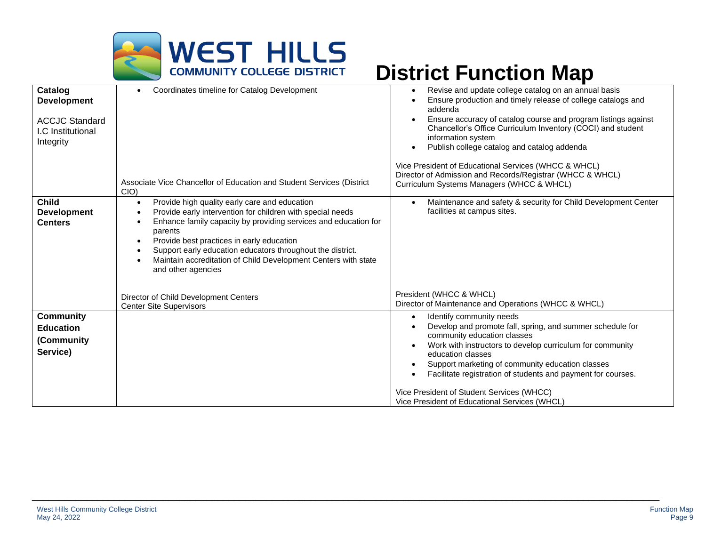

| Catalog<br><b>Development</b><br><b>ACCJC Standard</b><br>I.C Institutional<br>Integrity | Coordinates timeline for Catalog Development<br>$\bullet$                                                                                                                                                                                                                                                                                                                                                                                        | Revise and update college catalog on an annual basis<br>$\bullet$<br>Ensure production and timely release of college catalogs and<br>addenda<br>Ensure accuracy of catalog course and program listings against<br>Chancellor's Office Curriculum Inventory (COCI) and student<br>information system<br>Publish college catalog and catalog addenda<br>$\bullet$                      |
|------------------------------------------------------------------------------------------|--------------------------------------------------------------------------------------------------------------------------------------------------------------------------------------------------------------------------------------------------------------------------------------------------------------------------------------------------------------------------------------------------------------------------------------------------|--------------------------------------------------------------------------------------------------------------------------------------------------------------------------------------------------------------------------------------------------------------------------------------------------------------------------------------------------------------------------------------|
|                                                                                          | Associate Vice Chancellor of Education and Student Services (District<br>CIO)                                                                                                                                                                                                                                                                                                                                                                    | Vice President of Educational Services (WHCC & WHCL)<br>Director of Admission and Records/Registrar (WHCC & WHCL)<br>Curriculum Systems Managers (WHCC & WHCL)                                                                                                                                                                                                                       |
| <b>Child</b><br><b>Development</b><br><b>Centers</b>                                     | Provide high quality early care and education<br>$\bullet$<br>Provide early intervention for children with special needs<br>$\bullet$<br>Enhance family capacity by providing services and education for<br>parents<br>Provide best practices in early education<br>$\bullet$<br>Support early education educators throughout the district.<br>$\bullet$<br>Maintain accreditation of Child Development Centers with state<br>and other agencies | Maintenance and safety & security for Child Development Center<br>$\bullet$<br>facilities at campus sites.                                                                                                                                                                                                                                                                           |
|                                                                                          | Director of Child Development Centers<br><b>Center Site Supervisors</b>                                                                                                                                                                                                                                                                                                                                                                          | President (WHCC & WHCL)<br>Director of Maintenance and Operations (WHCC & WHCL)                                                                                                                                                                                                                                                                                                      |
| <b>Community</b><br><b>Education</b><br>(Community<br>Service)                           |                                                                                                                                                                                                                                                                                                                                                                                                                                                  | Identify community needs<br>$\bullet$<br>Develop and promote fall, spring, and summer schedule for<br>community education classes<br>Work with instructors to develop curriculum for community<br>education classes<br>Support marketing of community education classes<br>Facilitate registration of students and payment for courses.<br>Vice President of Student Services (WHCC) |
|                                                                                          |                                                                                                                                                                                                                                                                                                                                                                                                                                                  | Vice President of Educational Services (WHCL)                                                                                                                                                                                                                                                                                                                                        |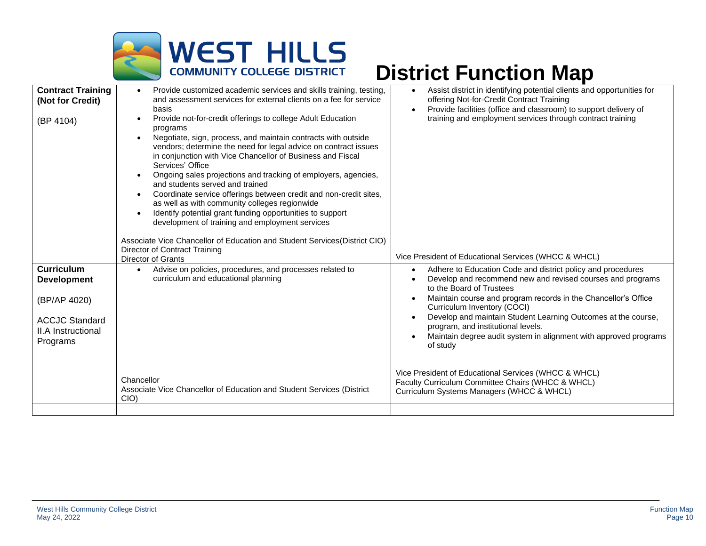

| <b>Contract Training</b><br>(Not for Credit)<br>(BP 4104)                                                          | Provide customized academic services and skills training, testing,<br>$\bullet$<br>and assessment services for external clients on a fee for service<br>basis<br>Provide not-for-credit offerings to college Adult Education<br>$\bullet$<br>programs<br>Negotiate, sign, process, and maintain contracts with outside<br>$\bullet$<br>vendors; determine the need for legal advice on contract issues<br>in conjunction with Vice Chancellor of Business and Fiscal<br>Services' Office<br>Ongoing sales projections and tracking of employers, agencies,<br>and students served and trained<br>Coordinate service offerings between credit and non-credit sites,<br>$\bullet$<br>as well as with community colleges regionwide<br>Identify potential grant funding opportunities to support<br>$\bullet$<br>development of training and employment services<br>Associate Vice Chancellor of Education and Student Services (District CIO)<br>Director of Contract Training<br><b>Director of Grants</b> | Assist district in identifying potential clients and opportunities for<br>$\bullet$<br>offering Not-for-Credit Contract Training<br>Provide facilities (office and classroom) to support delivery of<br>$\bullet$<br>training and employment services through contract training<br>Vice President of Educational Services (WHCC & WHCL)                                                                                                                                                                                                                                                                                                                     |
|--------------------------------------------------------------------------------------------------------------------|-----------------------------------------------------------------------------------------------------------------------------------------------------------------------------------------------------------------------------------------------------------------------------------------------------------------------------------------------------------------------------------------------------------------------------------------------------------------------------------------------------------------------------------------------------------------------------------------------------------------------------------------------------------------------------------------------------------------------------------------------------------------------------------------------------------------------------------------------------------------------------------------------------------------------------------------------------------------------------------------------------------|-------------------------------------------------------------------------------------------------------------------------------------------------------------------------------------------------------------------------------------------------------------------------------------------------------------------------------------------------------------------------------------------------------------------------------------------------------------------------------------------------------------------------------------------------------------------------------------------------------------------------------------------------------------|
| <b>Curriculum</b><br><b>Development</b><br>(BP/AP 4020)<br><b>ACCJC Standard</b><br>II.A Instructional<br>Programs | Advise on policies, procedures, and processes related to<br>$\bullet$<br>curriculum and educational planning<br>Chancellor<br>Associate Vice Chancellor of Education and Student Services (District<br>CIO                                                                                                                                                                                                                                                                                                                                                                                                                                                                                                                                                                                                                                                                                                                                                                                                | Adhere to Education Code and district policy and procedures<br>$\bullet$<br>Develop and recommend new and revised courses and programs<br>$\bullet$<br>to the Board of Trustees<br>Maintain course and program records in the Chancellor's Office<br>$\bullet$<br>Curriculum Inventory (COCI)<br>Develop and maintain Student Learning Outcomes at the course,<br>$\bullet$<br>program, and institutional levels.<br>Maintain degree audit system in alignment with approved programs<br>of study<br>Vice President of Educational Services (WHCC & WHCL)<br>Faculty Curriculum Committee Chairs (WHCC & WHCL)<br>Curriculum Systems Managers (WHCC & WHCL) |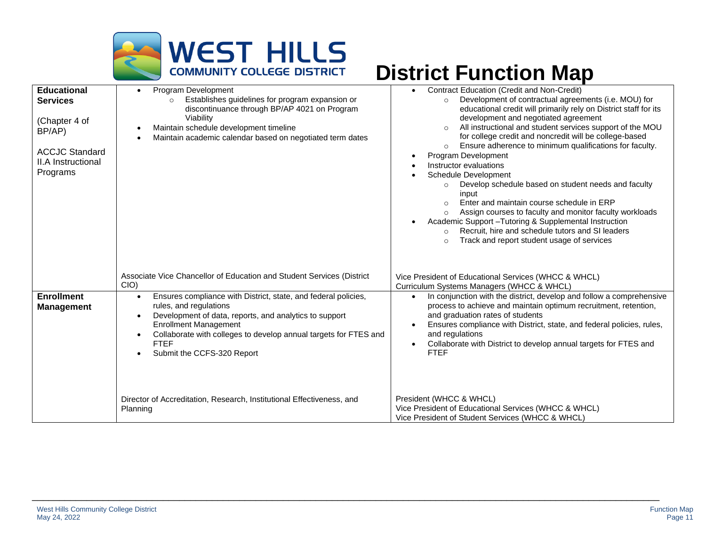

| <b>Educational</b><br><b>Services</b><br>(Chapter 4 of<br>BP/AP)<br><b>ACCJC Standard</b><br>II.A Instructional<br>Programs | Program Development<br>$\bullet$<br>Establishes guidelines for program expansion or<br>$\Omega$<br>discontinuance through BP/AP 4021 on Program<br>Viability<br>Maintain schedule development timeline<br>$\bullet$<br>Maintain academic calendar based on negotiated term dates                                                                        | <b>Contract Education (Credit and Non-Credit)</b><br>Development of contractual agreements (i.e. MOU) for<br>$\circ$<br>educational credit will primarily rely on District staff for its<br>development and negotiated agreement<br>All instructional and student services support of the MOU<br>for college credit and noncredit will be college-based<br>Ensure adherence to minimum qualifications for faculty.<br>Program Development<br>Instructor evaluations<br><b>Schedule Development</b><br>Develop schedule based on student needs and faculty<br>$\circ$<br>input<br>Enter and maintain course schedule in ERP<br>Assign courses to faculty and monitor faculty workloads<br>$\circ$<br>Academic Support - Tutoring & Supplemental Instruction<br>$\bullet$<br>Recruit, hire and schedule tutors and SI leaders<br>$\circ$<br>Track and report student usage of services<br>$\circ$ |
|-----------------------------------------------------------------------------------------------------------------------------|---------------------------------------------------------------------------------------------------------------------------------------------------------------------------------------------------------------------------------------------------------------------------------------------------------------------------------------------------------|-------------------------------------------------------------------------------------------------------------------------------------------------------------------------------------------------------------------------------------------------------------------------------------------------------------------------------------------------------------------------------------------------------------------------------------------------------------------------------------------------------------------------------------------------------------------------------------------------------------------------------------------------------------------------------------------------------------------------------------------------------------------------------------------------------------------------------------------------------------------------------------------------|
|                                                                                                                             | Associate Vice Chancellor of Education and Student Services (District<br>CIO                                                                                                                                                                                                                                                                            | Vice President of Educational Services (WHCC & WHCL)<br>Curriculum Systems Managers (WHCC & WHCL)                                                                                                                                                                                                                                                                                                                                                                                                                                                                                                                                                                                                                                                                                                                                                                                               |
| <b>Enrollment</b><br><b>Management</b>                                                                                      | Ensures compliance with District, state, and federal policies,<br>$\bullet$<br>rules, and regulations<br>Development of data, reports, and analytics to support<br>$\bullet$<br><b>Enrollment Management</b><br>Collaborate with colleges to develop annual targets for FTES and<br>$\bullet$<br><b>FTEF</b><br>Submit the CCFS-320 Report<br>$\bullet$ | In conjunction with the district, develop and follow a comprehensive<br>process to achieve and maintain optimum recruitment, retention,<br>and graduation rates of students<br>Ensures compliance with District, state, and federal policies, rules,<br>$\bullet$<br>and regulations<br>Collaborate with District to develop annual targets for FTES and<br>$\bullet$<br><b>FTEF</b>                                                                                                                                                                                                                                                                                                                                                                                                                                                                                                            |
|                                                                                                                             | Director of Accreditation, Research, Institutional Effectiveness, and<br>Planning                                                                                                                                                                                                                                                                       | President (WHCC & WHCL)<br>Vice President of Educational Services (WHCC & WHCL)<br>Vice President of Student Services (WHCC & WHCL)                                                                                                                                                                                                                                                                                                                                                                                                                                                                                                                                                                                                                                                                                                                                                             |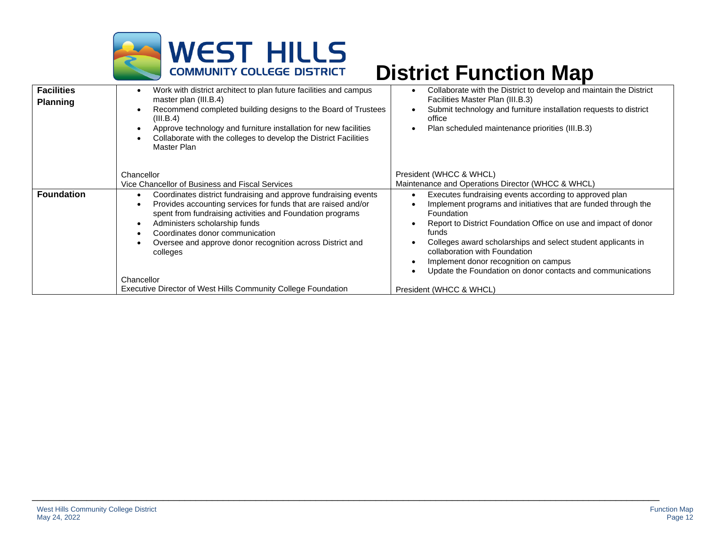

| <b>Facilities</b><br><b>Planning</b> | Work with district architect to plan future facilities and campus<br>master plan (III.B.4)<br>Recommend completed building designs to the Board of Trustees<br>(III.B.4)<br>Approve technology and furniture installation for new facilities<br>٠<br>Collaborate with the colleges to develop the District Facilities<br>Master Plan                         | Collaborate with the District to develop and maintain the District<br>Facilities Master Plan (III.B.3)<br>Submit technology and furniture installation requests to district<br>office<br>Plan scheduled maintenance priorities (III.B.3)                                                                                                                                                                                   |
|--------------------------------------|--------------------------------------------------------------------------------------------------------------------------------------------------------------------------------------------------------------------------------------------------------------------------------------------------------------------------------------------------------------|----------------------------------------------------------------------------------------------------------------------------------------------------------------------------------------------------------------------------------------------------------------------------------------------------------------------------------------------------------------------------------------------------------------------------|
|                                      | Chancellor<br>Vice Chancellor of Business and Fiscal Services                                                                                                                                                                                                                                                                                                | President (WHCC & WHCL)<br>Maintenance and Operations Director (WHCC & WHCL)                                                                                                                                                                                                                                                                                                                                               |
| <b>Foundation</b>                    | Coordinates district fundraising and approve fundraising events<br>$\bullet$<br>Provides accounting services for funds that are raised and/or<br>spent from fundraising activities and Foundation programs<br>Administers scholarship funds<br>٠<br>Coordinates donor communication<br>Oversee and approve donor recognition across District and<br>colleges | Executes fundraising events according to approved plan<br>Implement programs and initiatives that are funded through the<br>Foundation<br>Report to District Foundation Office on use and impact of donor<br>funds<br>Colleges award scholarships and select student applicants in<br>collaboration with Foundation<br>Implement donor recognition on campus<br>Update the Foundation on donor contacts and communications |
|                                      | Chancellor                                                                                                                                                                                                                                                                                                                                                   |                                                                                                                                                                                                                                                                                                                                                                                                                            |
|                                      | Executive Director of West Hills Community College Foundation                                                                                                                                                                                                                                                                                                | President (WHCC & WHCL)                                                                                                                                                                                                                                                                                                                                                                                                    |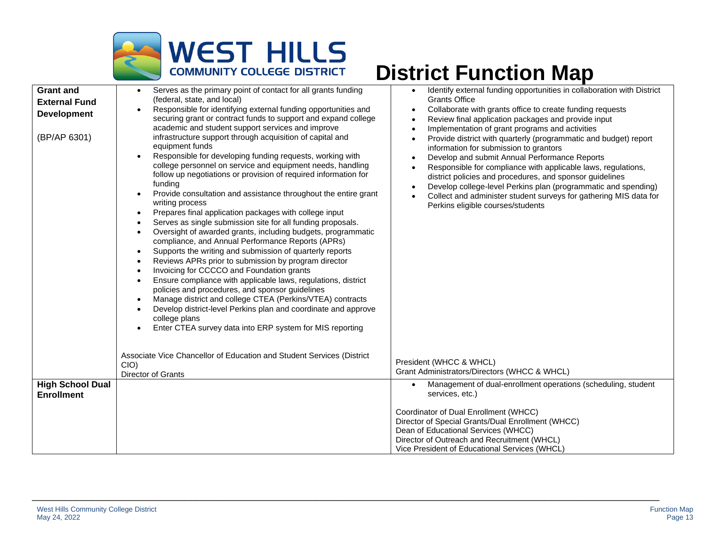

| (BP/AP 6301)                                 | academic and student support services and improve<br>infrastructure support through acquisition of capital and<br>equipment funds<br>Responsible for developing funding requests, working with<br>$\bullet$<br>college personnel on service and equipment needs, handling<br>follow up negotiations or provision of required information for<br>funding<br>Provide consultation and assistance throughout the entire grant<br>$\bullet$<br>writing process<br>Prepares final application packages with college input<br>$\bullet$<br>Serves as single submission site for all funding proposals.<br>$\bullet$<br>Oversight of awarded grants, including budgets, programmatic<br>$\bullet$<br>compliance, and Annual Performance Reports (APRs)<br>Supports the writing and submission of quarterly reports<br>$\bullet$<br>Reviews APRs prior to submission by program director<br>٠<br>Invoicing for CCCCO and Foundation grants<br>٠<br>Ensure compliance with applicable laws, regulations, district<br>policies and procedures, and sponsor guidelines | Implementation of grant programs and activities<br>Provide district with quarterly (programmatic and budget) report<br>information for submission to grantors<br>Develop and submit Annual Performance Reports<br>Responsible for compliance with applicable laws, regulations,<br>district policies and procedures, and sponsor guidelines<br>Develop college-level Perkins plan (programmatic and spending)<br>Collect and administer student surveys for gathering MIS data for<br>Perkins eligible courses/students |
|----------------------------------------------|-------------------------------------------------------------------------------------------------------------------------------------------------------------------------------------------------------------------------------------------------------------------------------------------------------------------------------------------------------------------------------------------------------------------------------------------------------------------------------------------------------------------------------------------------------------------------------------------------------------------------------------------------------------------------------------------------------------------------------------------------------------------------------------------------------------------------------------------------------------------------------------------------------------------------------------------------------------------------------------------------------------------------------------------------------------|-------------------------------------------------------------------------------------------------------------------------------------------------------------------------------------------------------------------------------------------------------------------------------------------------------------------------------------------------------------------------------------------------------------------------------------------------------------------------------------------------------------------------|
|                                              | Develop district-level Perkins plan and coordinate and approve<br>college plans<br>Enter CTEA survey data into ERP system for MIS reporting<br>Associate Vice Chancellor of Education and Student Services (District<br>CIO<br>Director of Grants                                                                                                                                                                                                                                                                                                                                                                                                                                                                                                                                                                                                                                                                                                                                                                                                           | President (WHCC & WHCL)<br>Grant Administrators/Directors (WHCC & WHCL)                                                                                                                                                                                                                                                                                                                                                                                                                                                 |
| <b>High School Dual</b><br><b>Enrollment</b> |                                                                                                                                                                                                                                                                                                                                                                                                                                                                                                                                                                                                                                                                                                                                                                                                                                                                                                                                                                                                                                                             | Management of dual-enrollment operations (scheduling, student<br>services, etc.)<br>Coordinator of Dual Enrollment (WHCC)<br>Director of Special Grants/Dual Enrollment (WHCC)<br>Dean of Educational Services (WHCC)<br>Director of Outreach and Recruitment (WHCL)<br>Vice President of Educational Services (WHCL)                                                                                                                                                                                                   |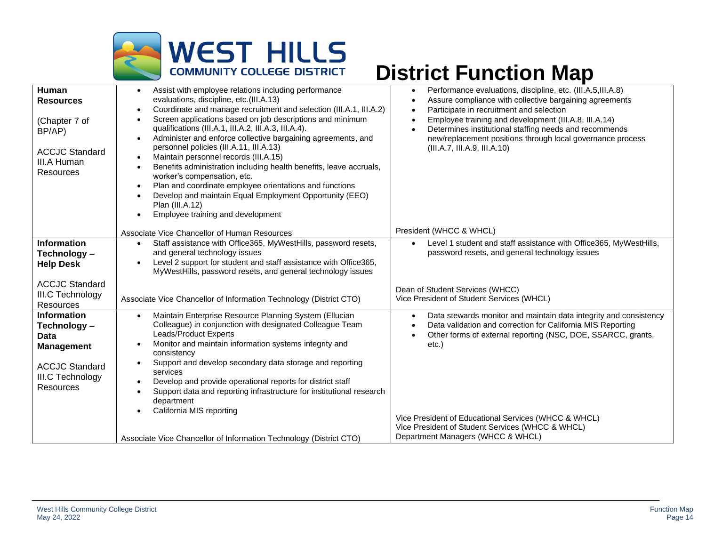

| Human<br><b>Resources</b><br>(Chapter 7 of<br>BP/AP)<br><b>ACCJC Standard</b><br>III.A Human<br><b>Resources</b>                 | Assist with employee relations including performance<br>evaluations, discipline, etc.(III.A.13)<br>Coordinate and manage recruitment and selection (III.A.1, III.A.2)<br>$\bullet$<br>Screen applications based on job descriptions and minimum<br>$\bullet$<br>qualifications (III.A.1, III.A.2, III.A.3, III.A.4).<br>Administer and enforce collective bargaining agreements, and<br>$\bullet$<br>personnel policies (III.A.11, III.A.13)<br>Maintain personnel records (III.A.15)<br>$\bullet$<br>Benefits administration including health benefits, leave accruals,<br>$\bullet$<br>worker's compensation, etc.<br>Plan and coordinate employee orientations and functions<br>$\bullet$<br>Develop and maintain Equal Employment Opportunity (EEO)<br>Plan (III.A.12)<br>Employee training and development<br>$\bullet$ | Performance evaluations, discipline, etc. (III.A.5,III.A.8)<br>$\bullet$<br>Assure compliance with collective bargaining agreements<br>$\bullet$<br>Participate in recruitment and selection<br>$\bullet$<br>Employee training and development (III.A.8, III.A.14)<br>$\bullet$<br>Determines institutional staffing needs and recommends<br>$\bullet$<br>new/replacement positions through local governance process<br>(III.A.7, III.A.9, III.A.10) |
|----------------------------------------------------------------------------------------------------------------------------------|------------------------------------------------------------------------------------------------------------------------------------------------------------------------------------------------------------------------------------------------------------------------------------------------------------------------------------------------------------------------------------------------------------------------------------------------------------------------------------------------------------------------------------------------------------------------------------------------------------------------------------------------------------------------------------------------------------------------------------------------------------------------------------------------------------------------------|------------------------------------------------------------------------------------------------------------------------------------------------------------------------------------------------------------------------------------------------------------------------------------------------------------------------------------------------------------------------------------------------------------------------------------------------------|
|                                                                                                                                  | Associate Vice Chancellor of Human Resources                                                                                                                                                                                                                                                                                                                                                                                                                                                                                                                                                                                                                                                                                                                                                                                 | President (WHCC & WHCL)                                                                                                                                                                                                                                                                                                                                                                                                                              |
| <b>Information</b><br>Technology-<br><b>Help Desk</b>                                                                            | Staff assistance with Office365, MyWestHills, password resets,<br>$\bullet$<br>and general technology issues<br>Level 2 support for student and staff assistance with Office365,<br>$\bullet$<br>MyWestHills, password resets, and general technology issues                                                                                                                                                                                                                                                                                                                                                                                                                                                                                                                                                                 | Level 1 student and staff assistance with Office365, MyWestHills,<br>$\bullet$<br>password resets, and general technology issues                                                                                                                                                                                                                                                                                                                     |
| <b>ACCJC Standard</b><br>III.C Technology<br><b>Resources</b>                                                                    | Associate Vice Chancellor of Information Technology (District CTO)                                                                                                                                                                                                                                                                                                                                                                                                                                                                                                                                                                                                                                                                                                                                                           | Dean of Student Services (WHCC)<br>Vice President of Student Services (WHCL)                                                                                                                                                                                                                                                                                                                                                                         |
| <b>Information</b><br>Technology -<br>Data<br><b>Management</b><br><b>ACCJC Standard</b><br>III.C Technology<br><b>Resources</b> | Maintain Enterprise Resource Planning System (Ellucian<br>$\bullet$<br>Colleague) in conjunction with designated Colleague Team<br>Leads/Product Experts<br>Monitor and maintain information systems integrity and<br>$\bullet$<br>consistency<br>Support and develop secondary data storage and reporting<br>$\bullet$<br>services<br>Develop and provide operational reports for district staff<br>$\bullet$<br>Support data and reporting infrastructure for institutional research<br>$\bullet$<br>department<br>California MIS reporting                                                                                                                                                                                                                                                                                | Data stewards monitor and maintain data integrity and consistency<br>$\bullet$<br>Data validation and correction for California MIS Reporting<br>$\bullet$<br>Other forms of external reporting (NSC, DOE, SSARCC, grants,<br>$\bullet$<br>$etc.$ )                                                                                                                                                                                                  |
|                                                                                                                                  | Associate Vice Chancellor of Information Technology (District CTO)                                                                                                                                                                                                                                                                                                                                                                                                                                                                                                                                                                                                                                                                                                                                                           | Vice President of Educational Services (WHCC & WHCL)<br>Vice President of Student Services (WHCC & WHCL)<br>Department Managers (WHCC & WHCL)                                                                                                                                                                                                                                                                                                        |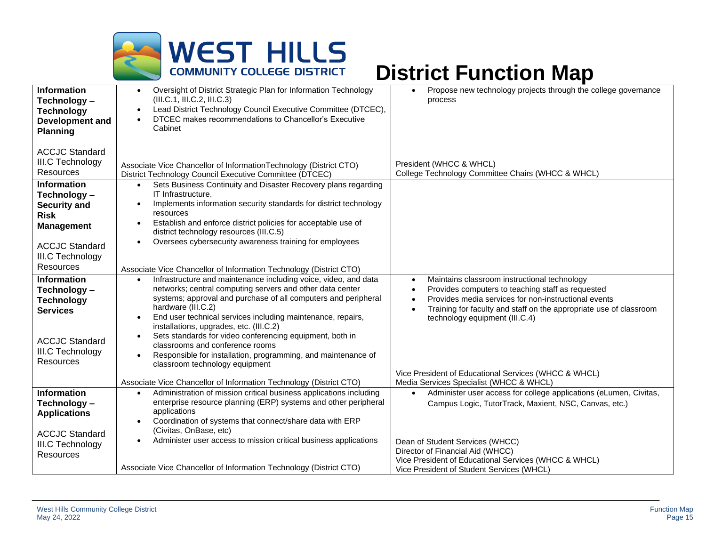

| Information<br>Technology -<br><b>Technology</b><br><b>Development and</b>                                                                                                                                       | Oversight of District Strategic Plan for Information Technology<br>$\bullet$<br>(III.C.1, III.C.2, III.C.3)<br>Lead District Technology Council Executive Committee (DTCEC),<br>$\bullet$<br>DTCEC makes recommendations to Chancellor's Executive<br>Cabinet                                                                                                                                                                                                                                                                                                                        | Propose new technology projects through the college governance<br>$\bullet$<br>process                                                                                                                                                                                                                                |
|------------------------------------------------------------------------------------------------------------------------------------------------------------------------------------------------------------------|--------------------------------------------------------------------------------------------------------------------------------------------------------------------------------------------------------------------------------------------------------------------------------------------------------------------------------------------------------------------------------------------------------------------------------------------------------------------------------------------------------------------------------------------------------------------------------------|-----------------------------------------------------------------------------------------------------------------------------------------------------------------------------------------------------------------------------------------------------------------------------------------------------------------------|
| <b>Planning</b><br><b>ACCJC Standard</b><br><b>III.C Technology</b><br><b>Resources</b><br><b>Information</b><br>Technology-<br><b>Security and</b><br><b>Risk</b><br><b>Management</b><br><b>ACCJC Standard</b> | Associate Vice Chancellor of InformationTechnology (District CTO)<br>District Technology Council Executive Committee (DTCEC)<br>Sets Business Continuity and Disaster Recovery plans regarding<br>$\bullet$<br>IT Infrastructure.<br>Implements information security standards for district technology<br>$\bullet$<br>resources<br>Establish and enforce district policies for acceptable use of<br>$\bullet$<br>district technology resources (III.C.5)<br>Oversees cybersecurity awareness training for employees<br>$\bullet$                                                    | President (WHCC & WHCL)<br>College Technology Committee Chairs (WHCC & WHCL)                                                                                                                                                                                                                                          |
| III.C Technology<br><b>Resources</b>                                                                                                                                                                             | Associate Vice Chancellor of Information Technology (District CTO)                                                                                                                                                                                                                                                                                                                                                                                                                                                                                                                   |                                                                                                                                                                                                                                                                                                                       |
| Information<br>Technology -<br><b>Technology</b><br><b>Services</b><br><b>ACCJC Standard</b><br><b>III.C Technology</b><br><b>Resources</b>                                                                      | Infrastructure and maintenance including voice, video, and data<br>$\bullet$<br>networks; central computing servers and other data center<br>systems; approval and purchase of all computers and peripheral<br>hardware (III.C.2)<br>End user technical services including maintenance, repairs,<br>$\bullet$<br>installations, upgrades, etc. (III.C.2)<br>Sets standards for video conferencing equipment, both in<br>$\bullet$<br>classrooms and conference rooms<br>Responsible for installation, programming, and maintenance of<br>$\bullet$<br>classroom technology equipment | Maintains classroom instructional technology<br>$\bullet$<br>Provides computers to teaching staff as requested<br>$\bullet$<br>Provides media services for non-instructional events<br>$\bullet$<br>Training for faculty and staff on the appropriate use of classroom<br>$\bullet$<br>technology equipment (III.C.4) |
|                                                                                                                                                                                                                  | Associate Vice Chancellor of Information Technology (District CTO)                                                                                                                                                                                                                                                                                                                                                                                                                                                                                                                   | Vice President of Educational Services (WHCC & WHCL)<br>Media Services Specialist (WHCC & WHCL)                                                                                                                                                                                                                       |
| Information<br>Technology -<br><b>Applications</b><br><b>ACCJC Standard</b>                                                                                                                                      | Administration of mission critical business applications including<br>$\bullet$<br>enterprise resource planning (ERP) systems and other peripheral<br>applications<br>Coordination of systems that connect/share data with ERP<br>٠<br>(Civitas, OnBase, etc)<br>Administer user access to mission critical business applications<br>$\bullet$                                                                                                                                                                                                                                       | Administer user access for college applications (eLumen, Civitas,<br>$\bullet$<br>Campus Logic, TutorTrack, Maxient, NSC, Canvas, etc.)                                                                                                                                                                               |
| <b>III.C Technology</b><br><b>Resources</b>                                                                                                                                                                      | Associate Vice Chancellor of Information Technology (District CTO)                                                                                                                                                                                                                                                                                                                                                                                                                                                                                                                   | Dean of Student Services (WHCC)<br>Director of Financial Aid (WHCC)<br>Vice President of Educational Services (WHCC & WHCL)                                                                                                                                                                                           |
|                                                                                                                                                                                                                  |                                                                                                                                                                                                                                                                                                                                                                                                                                                                                                                                                                                      | Vice President of Student Services (WHCL)                                                                                                                                                                                                                                                                             |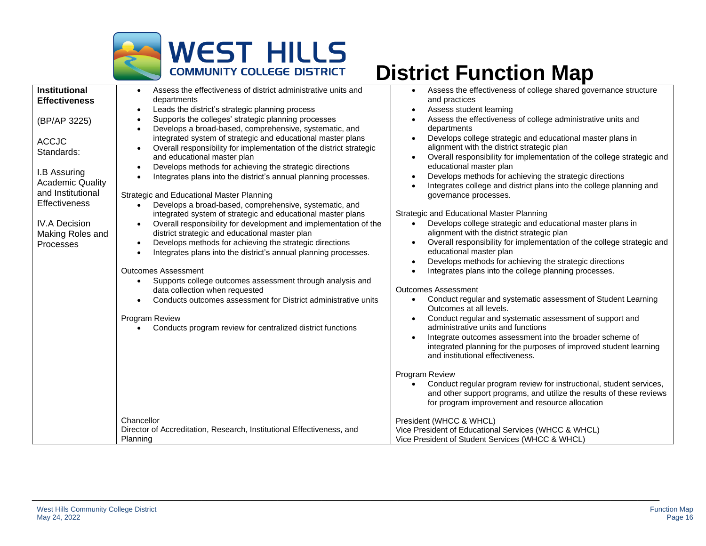

| <b>Institutional</b>    | Assess the effectiveness of district administrative units and                 | Assess the effectiveness of college shared governance structure                                 |
|-------------------------|-------------------------------------------------------------------------------|-------------------------------------------------------------------------------------------------|
| <b>Effectiveness</b>    | departments                                                                   | and practices                                                                                   |
|                         | Leads the district's strategic planning process<br>$\bullet$                  | Assess student learning<br>$\bullet$                                                            |
| (BP/AP 3225)            | Supports the colleges' strategic planning processes<br>$\bullet$              | Assess the effectiveness of college administrative units and                                    |
|                         | Develops a broad-based, comprehensive, systematic, and                        | departments                                                                                     |
| <b>ACCJC</b>            | integrated system of strategic and educational master plans                   | Develops college strategic and educational master plans in                                      |
| Standards:              | Overall responsibility for implementation of the district strategic           | alignment with the district strategic plan                                                      |
|                         | and educational master plan                                                   | Overall responsibility for implementation of the college strategic and                          |
| I.B Assuring            | Develops methods for achieving the strategic directions                       | educational master plan<br>Develops methods for achieving the strategic directions<br>$\bullet$ |
| <b>Academic Quality</b> | Integrates plans into the district's annual planning processes.               | Integrates college and district plans into the college planning and                             |
| and Institutional       | Strategic and Educational Master Planning                                     | governance processes.                                                                           |
| <b>Effectiveness</b>    | Develops a broad-based, comprehensive, systematic, and<br>$\bullet$           |                                                                                                 |
|                         | integrated system of strategic and educational master plans                   | Strategic and Educational Master Planning                                                       |
| <b>IV.A Decision</b>    | Overall responsibility for development and implementation of the<br>$\bullet$ | Develops college strategic and educational master plans in                                      |
| Making Roles and        | district strategic and educational master plan                                | alignment with the district strategic plan                                                      |
| <b>Processes</b>        | Develops methods for achieving the strategic directions<br>$\bullet$          | Overall responsibility for implementation of the college strategic and<br>$\bullet$             |
|                         | Integrates plans into the district's annual planning processes.<br>$\bullet$  | educational master plan                                                                         |
|                         |                                                                               | Develops methods for achieving the strategic directions<br>$\bullet$                            |
|                         | <b>Outcomes Assessment</b>                                                    | Integrates plans into the college planning processes.                                           |
|                         | Supports college outcomes assessment through analysis and                     |                                                                                                 |
|                         | data collection when requested                                                | <b>Outcomes Assessment</b>                                                                      |
|                         | Conducts outcomes assessment for District administrative units<br>$\bullet$   | Conduct regular and systematic assessment of Student Learning<br>Outcomes at all levels.        |
|                         | Program Review                                                                | Conduct regular and systematic assessment of support and                                        |
|                         | Conducts program review for centralized district functions                    | administrative units and functions                                                              |
|                         |                                                                               | Integrate outcomes assessment into the broader scheme of                                        |
|                         |                                                                               | integrated planning for the purposes of improved student learning                               |
|                         |                                                                               | and institutional effectiveness.                                                                |
|                         |                                                                               | Program Review                                                                                  |
|                         |                                                                               | Conduct regular program review for instructional, student services,                             |
|                         |                                                                               | and other support programs, and utilize the results of these reviews                            |
|                         |                                                                               | for program improvement and resource allocation                                                 |
|                         | Chancellor                                                                    | President (WHCC & WHCL)                                                                         |
|                         | Director of Accreditation, Research, Institutional Effectiveness, and         | Vice President of Educational Services (WHCC & WHCL)                                            |
|                         | Planning                                                                      | Vice President of Student Services (WHCC & WHCL)                                                |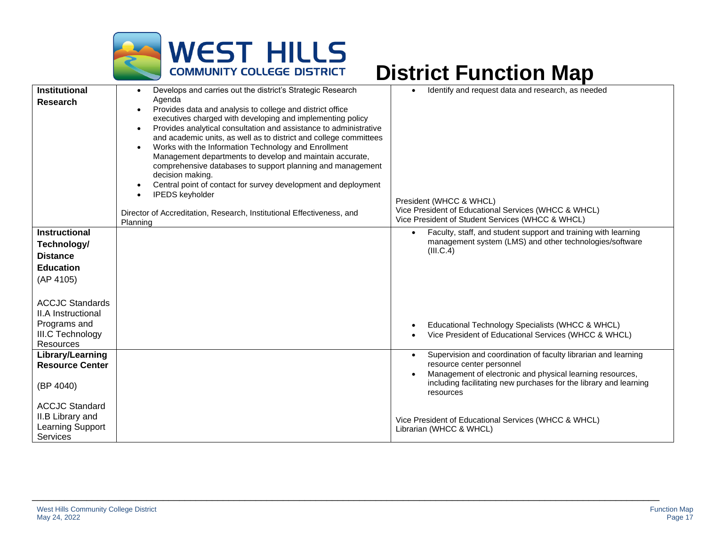

| <b>Institutional</b><br><b>Research</b>                                                              | Develops and carries out the district's Strategic Research<br>Agenda<br>Provides data and analysis to college and district office<br>$\bullet$<br>executives charged with developing and implementing policy<br>Provides analytical consultation and assistance to administrative<br>$\bullet$<br>and academic units, as well as to district and college committees<br>Works with the Information Technology and Enrollment<br>$\bullet$<br>Management departments to develop and maintain accurate,<br>comprehensive databases to support planning and management<br>decision making.<br>Central point of contact for survey development and deployment<br>$\bullet$<br><b>IPEDS</b> keyholder<br>$\bullet$ | Identify and request data and research, as needed<br>President (WHCC & WHCL)                                                                |
|------------------------------------------------------------------------------------------------------|--------------------------------------------------------------------------------------------------------------------------------------------------------------------------------------------------------------------------------------------------------------------------------------------------------------------------------------------------------------------------------------------------------------------------------------------------------------------------------------------------------------------------------------------------------------------------------------------------------------------------------------------------------------------------------------------------------------|---------------------------------------------------------------------------------------------------------------------------------------------|
|                                                                                                      | Director of Accreditation, Research, Institutional Effectiveness, and<br>Planning                                                                                                                                                                                                                                                                                                                                                                                                                                                                                                                                                                                                                            | Vice President of Educational Services (WHCC & WHCL)<br>Vice President of Student Services (WHCC & WHCL)                                    |
| <b>Instructional</b>                                                                                 |                                                                                                                                                                                                                                                                                                                                                                                                                                                                                                                                                                                                                                                                                                              | Faculty, staff, and student support and training with learning                                                                              |
| Technology/                                                                                          |                                                                                                                                                                                                                                                                                                                                                                                                                                                                                                                                                                                                                                                                                                              | management system (LMS) and other technologies/software                                                                                     |
| <b>Distance</b>                                                                                      |                                                                                                                                                                                                                                                                                                                                                                                                                                                                                                                                                                                                                                                                                                              | (III.C.4)                                                                                                                                   |
| <b>Education</b>                                                                                     |                                                                                                                                                                                                                                                                                                                                                                                                                                                                                                                                                                                                                                                                                                              |                                                                                                                                             |
| (AP 4105)                                                                                            |                                                                                                                                                                                                                                                                                                                                                                                                                                                                                                                                                                                                                                                                                                              |                                                                                                                                             |
| <b>ACCJC Standards</b><br>II.A Instructional<br>Programs and<br>III.C Technology<br><b>Resources</b> |                                                                                                                                                                                                                                                                                                                                                                                                                                                                                                                                                                                                                                                                                                              | Educational Technology Specialists (WHCC & WHCL)<br>Vice President of Educational Services (WHCC & WHCL)                                    |
| Library/Learning                                                                                     |                                                                                                                                                                                                                                                                                                                                                                                                                                                                                                                                                                                                                                                                                                              | Supervision and coordination of faculty librarian and learning<br>$\bullet$                                                                 |
| <b>Resource Center</b>                                                                               |                                                                                                                                                                                                                                                                                                                                                                                                                                                                                                                                                                                                                                                                                                              | resource center personnel                                                                                                                   |
| (BP 4040)                                                                                            |                                                                                                                                                                                                                                                                                                                                                                                                                                                                                                                                                                                                                                                                                                              | Management of electronic and physical learning resources,<br>including facilitating new purchases for the library and learning<br>resources |
| <b>ACCJC Standard</b>                                                                                |                                                                                                                                                                                                                                                                                                                                                                                                                                                                                                                                                                                                                                                                                                              |                                                                                                                                             |
| II.B Library and                                                                                     |                                                                                                                                                                                                                                                                                                                                                                                                                                                                                                                                                                                                                                                                                                              | Vice President of Educational Services (WHCC & WHCL)                                                                                        |
| Learning Support<br>Services                                                                         |                                                                                                                                                                                                                                                                                                                                                                                                                                                                                                                                                                                                                                                                                                              | Librarian (WHCC & WHCL)                                                                                                                     |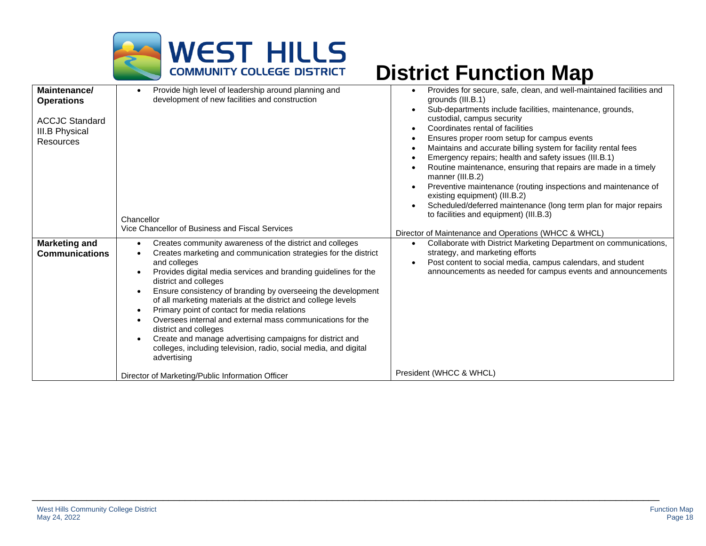

| Maintenance/<br><b>Operations</b><br><b>ACCJC Standard</b><br>III.B Physical<br>Resources | Provide high level of leadership around planning and<br>development of new facilities and construction<br>Chancellor                                                                                                                                                                                                                                                                                                                                                                                                                                                                                                                                           | Provides for secure, safe, clean, and well-maintained facilities and<br>grounds (III.B.1)<br>Sub-departments include facilities, maintenance, grounds,<br>custodial, campus security<br>Coordinates rental of facilities<br>Ensures proper room setup for campus events<br>Maintains and accurate billing system for facility rental fees<br>٠<br>Emergency repairs; health and safety issues (III.B.1)<br>Routine maintenance, ensuring that repairs are made in a timely<br>manner (III.B.2)<br>Preventive maintenance (routing inspections and maintenance of<br>$\bullet$<br>existing equipment) (III.B.2)<br>Scheduled/deferred maintenance (long term plan for major repairs<br>to facilities and equipment) (III.B.3) |
|-------------------------------------------------------------------------------------------|----------------------------------------------------------------------------------------------------------------------------------------------------------------------------------------------------------------------------------------------------------------------------------------------------------------------------------------------------------------------------------------------------------------------------------------------------------------------------------------------------------------------------------------------------------------------------------------------------------------------------------------------------------------|------------------------------------------------------------------------------------------------------------------------------------------------------------------------------------------------------------------------------------------------------------------------------------------------------------------------------------------------------------------------------------------------------------------------------------------------------------------------------------------------------------------------------------------------------------------------------------------------------------------------------------------------------------------------------------------------------------------------------|
|                                                                                           | Vice Chancellor of Business and Fiscal Services                                                                                                                                                                                                                                                                                                                                                                                                                                                                                                                                                                                                                | Director of Maintenance and Operations (WHCC & WHCL)                                                                                                                                                                                                                                                                                                                                                                                                                                                                                                                                                                                                                                                                         |
| <b>Marketing and</b><br><b>Communications</b>                                             | Creates community awareness of the district and colleges<br>Creates marketing and communication strategies for the district<br>and colleges<br>Provides digital media services and branding guidelines for the<br>district and colleges<br>Ensure consistency of branding by overseeing the development<br>of all marketing materials at the district and college levels<br>Primary point of contact for media relations<br>Oversees internal and external mass communications for the<br>district and colleges<br>Create and manage advertising campaigns for district and<br>colleges, including television, radio, social media, and digital<br>advertising | Collaborate with District Marketing Department on communications,<br>$\bullet$<br>strategy, and marketing efforts<br>Post content to social media, campus calendars, and student<br>announcements as needed for campus events and announcements                                                                                                                                                                                                                                                                                                                                                                                                                                                                              |
|                                                                                           | Director of Marketing/Public Information Officer                                                                                                                                                                                                                                                                                                                                                                                                                                                                                                                                                                                                               | President (WHCC & WHCL)                                                                                                                                                                                                                                                                                                                                                                                                                                                                                                                                                                                                                                                                                                      |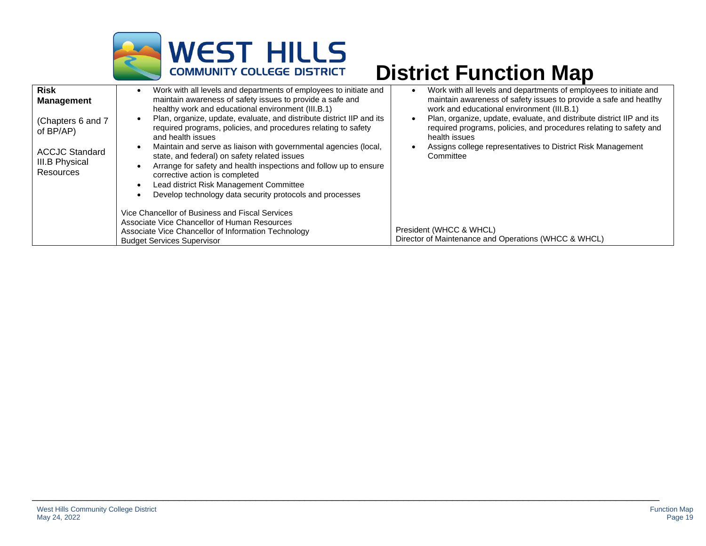

| <b>Risk</b><br><b>Management</b><br>(Chapters 6 and 7<br>of $BP/AP$ )<br><b>ACCJC Standard</b><br><b>III.B Physical</b><br>Resources | Work with all levels and departments of employees to initiate and<br>maintain awareness of safety issues to provide a safe and<br>healthy work and educational environment (III.B.1)<br>Plan, organize, update, evaluate, and distribute district IIP and its<br>required programs, policies, and procedures relating to safety<br>and health issues<br>Maintain and serve as liaison with governmental agencies (local,<br>state, and federal) on safety related issues<br>Arrange for safety and health inspections and follow up to ensure<br>corrective action is completed<br>Lead district Risk Management Committee<br>Develop technology data security protocols and processes | Work with all levels and departments of employees to initiate and<br>maintain awareness of safety issues to provide a safe and heatlhy<br>work and educational environment (III.B.1)<br>Plan, organize, update, evaluate, and distribute district IIP and its<br>required programs, policies, and procedures relating to safety and<br>health issues<br>Assigns college representatives to District Risk Management<br>Committee |
|--------------------------------------------------------------------------------------------------------------------------------------|----------------------------------------------------------------------------------------------------------------------------------------------------------------------------------------------------------------------------------------------------------------------------------------------------------------------------------------------------------------------------------------------------------------------------------------------------------------------------------------------------------------------------------------------------------------------------------------------------------------------------------------------------------------------------------------|----------------------------------------------------------------------------------------------------------------------------------------------------------------------------------------------------------------------------------------------------------------------------------------------------------------------------------------------------------------------------------------------------------------------------------|
|                                                                                                                                      | Vice Chancellor of Business and Fiscal Services<br>Associate Vice Chancellor of Human Resources<br>Associate Vice Chancellor of Information Technology<br><b>Budget Services Supervisor</b>                                                                                                                                                                                                                                                                                                                                                                                                                                                                                            | President (WHCC & WHCL)<br>Director of Maintenance and Operations (WHCC & WHCL)                                                                                                                                                                                                                                                                                                                                                  |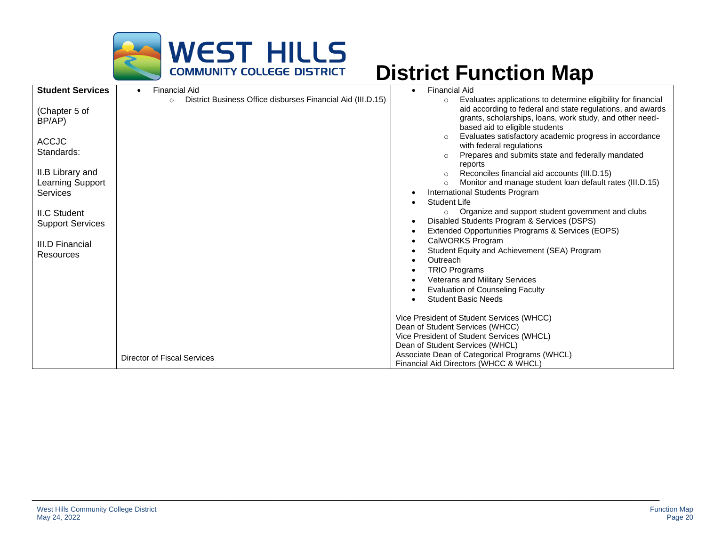

| <b>Student Services</b>                               | <b>Financial Aid</b><br>$\bullet$                                      | <b>Financial Aid</b>                                                                                                                                                                                                                                                                                                                                                                                             |
|-------------------------------------------------------|------------------------------------------------------------------------|------------------------------------------------------------------------------------------------------------------------------------------------------------------------------------------------------------------------------------------------------------------------------------------------------------------------------------------------------------------------------------------------------------------|
| (Chapter 5 of<br>BP/AP)<br><b>ACCJC</b><br>Standards: | District Business Office disburses Financial Aid (III.D.15)<br>$\circ$ | Evaluates applications to determine eligibility for financial<br>$\circ$<br>aid according to federal and state regulations, and awards<br>grants, scholarships, loans, work study, and other need-<br>based aid to eligible students<br>Evaluates satisfactory academic progress in accordance<br>$\circ$<br>with federal regulations<br>Prepares and submits state and federally mandated<br>$\circ$<br>reports |
| II.B Library and<br>Learning Support<br>Services      |                                                                        | Reconciles financial aid accounts (III.D.15)<br>$\circ$<br>Monitor and manage student loan default rates (III.D.15)<br>$\circ$<br>International Students Program<br>Student Life                                                                                                                                                                                                                                 |
| <b>II.C Student</b><br><b>Support Services</b>        |                                                                        | Organize and support student government and clubs<br>$\circ$<br>Disabled Students Program & Services (DSPS)<br>Extended Opportunities Programs & Services (EOPS)                                                                                                                                                                                                                                                 |
| III.D Financial<br>Resources                          |                                                                        | CalWORKS Program<br>Student Equity and Achievement (SEA) Program<br>Outreach<br><b>TRIO Programs</b><br>Veterans and Military Services<br><b>Evaluation of Counseling Faculty</b>                                                                                                                                                                                                                                |
|                                                       |                                                                        | <b>Student Basic Needs</b>                                                                                                                                                                                                                                                                                                                                                                                       |
|                                                       |                                                                        | Vice President of Student Services (WHCC)<br>Dean of Student Services (WHCC)                                                                                                                                                                                                                                                                                                                                     |
|                                                       |                                                                        | Vice President of Student Services (WHCL)<br>Dean of Student Services (WHCL)                                                                                                                                                                                                                                                                                                                                     |
|                                                       | <b>Director of Fiscal Services</b>                                     | Associate Dean of Categorical Programs (WHCL)<br>Financial Aid Directors (WHCC & WHCL)                                                                                                                                                                                                                                                                                                                           |